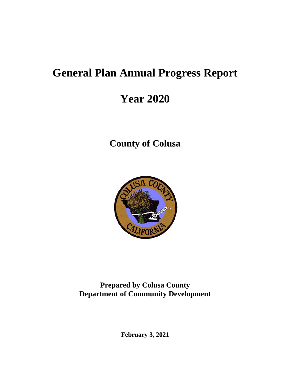# **General Plan Annual Progress Report**

# **Year 2020**

**County of Colusa**



**Prepared by Colusa County Department of Community Development**

**February 3, 2021**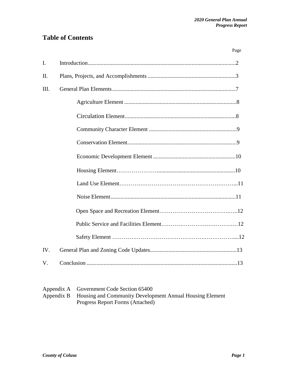### **Table of Contents**

|                | Page |
|----------------|------|
| $\mathbf{I}$ . |      |
| II.            |      |
| III.           |      |
|                |      |
|                |      |
|                |      |
|                |      |
|                |      |
|                |      |
|                |      |
|                |      |
|                |      |
|                |      |
|                |      |
| IV.            |      |
| V.             |      |

| Appendix A Government Code Section 65400                            |
|---------------------------------------------------------------------|
| Appendix B Housing and Community Development Annual Housing Element |
| Progress Report Forms (Attached)                                    |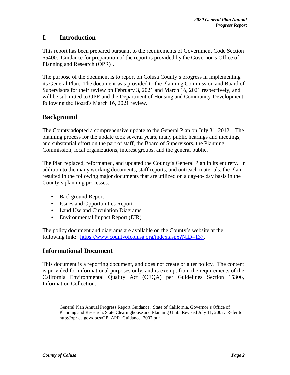### **I. Introduction**

This report has been prepared pursuant to the requirements of Government Code Section 65400. Guidance for preparation of the report is provided by the Governor's Office of Planning and Research (OPR)<sup>1</sup>.

The purpose of the document is to report on Colusa County's progress in implementing its General Plan. The document was provided to the Planning Commission and Board of Supervisors for their review on February 3, 2021 and March 16, 2021 respectively, and will be submitted to OPR and the Department of Housing and Community Development following the Board's March 16, 2021 review.

### **Background**

The County adopted a comprehensive update to the General Plan on July 31, 2012. The planning process for the update took several years, many public hearings and meetings, and substantial effort on the part of staff, the Board of Supervisors, the Planning Commission, local organizations, interest groups, and the general public.

The Plan replaced, reformatted, and updated the County's General Plan in its entirety. In addition to the many working documents, staff reports, and outreach materials, the Plan resulted in the following major documents that are utilized on a day-to- day basis in the County's planning processes:

- Background Report
- Issues and Opportunities Report
- Land Use and Circulation Diagrams
- Environmental Impact Report (EIR)

The policy document and diagrams are available on the County's website at the following link: [https://www.countyofcolusa.org/index.aspx?NID=137.](https://www.countyofcolusa.org/index.aspx?NID=137)

### **Informational Document**

This document is a reporting document, and does not create or alter policy. The content is provided for informational purposes only, and is exempt from the requirements of the California Environmental Quality Act (CEQA) per Guidelines Section 15306, Information Collection.

<sup>&</sup>lt;sup>1</sup> General Plan Annual Progress Report Guidance. State of California, Governor's Office of Planning and Research, State Clearinghouse and Planning Unit. Revised July 11, 2007. Refer t[o](http://opr.ca.gov/docs/GP_APR_Guidance_2007.pdf) [http://opr.ca.gov/docs/GP\\_APR\\_Guidance\\_2007.pdf](http://opr.ca.gov/docs/GP_APR_Guidance_2007.pdf)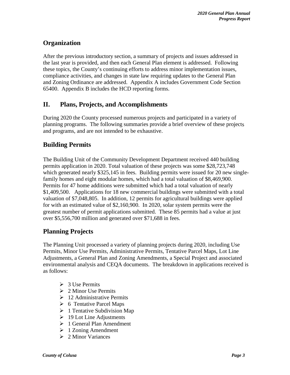### **Organization**

After the previous introductory section, a summary of projects and issues addressed in the last year is provided, and then each General Plan element is addressed. Following these topics, the County's continuing efforts to address minor implementation issues, compliance activities, and changes in state law requiring updates to the General Plan and Zoning Ordinance are addressed. Appendix A includes Government Code Section 65400. Appendix B includes the HCD reporting forms.

### **II. Plans, Projects, and Accomplishments**

During 2020 the County processed numerous projects and participated in a variety of planning programs. The following summaries provide a brief overview of these projects and programs, and are not intended to be exhaustive.

### **Building Permits**

The Building Unit of the Community Development Department received 440 building permits application in 2020. Total valuation of these projects was some \$28,723,748 which generated nearly \$325,145 in fees. Building permits were issued for 20 new singlefamily homes and eight modular homes, which had a total valuation of \$8,469,900. Permits for 47 home additions were submitted which had a total valuation of nearly \$1,409,500. Applications for 18 new commercial buildings were submitted with a total valuation of \$7,048,805. In addition, 12 permits for agricultural buildings were applied for with an estimated value of \$2,160,900. In 2020, solar system permits were the greatest number of permit applications submitted. These 85 permits had a value at just over \$5,556,700 million and generated over \$71,688 in fees.

### **Planning Projects**

The Planning Unit processed a variety of planning projects during 2020, including Use Permits, Minor Use Permits, Administrative Permits, Tentative Parcel Maps, Lot Line Adjustments, a General Plan and Zoning Amendments, a Special Project and associated environmental analysis and CEQA documents. The breakdown in applications received is as follows:

- $\geq 3$  Use Permits
- $\geq 2$  Minor Use Permits
- $\geq 12$  Administrative Permits
- $\triangleright$  6 Tentative Parcel Maps
- $\geq 1$  Tentative Subdivision Map
- $\geq 19$  Lot Line Adjustments
- $\geq 1$  General Plan Amendment
- $\geq 1$  Zoning Amendment
- $\geq 2$  Minor Variances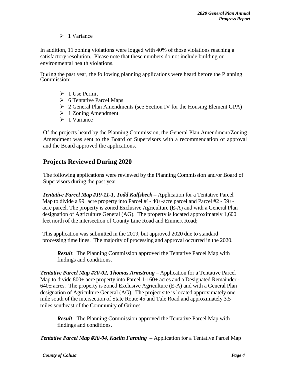$\triangleright$  1 Variance

In addition, 11 zoning violations were logged with 40% of those violations reaching a satisfactory resolution. Please note that these numbers do not include building or environmental health violations.

During the past year, the following planning applications were heard before the Planning Commission:

- $\geq 1$  Use Permit
- $\triangleright$  6 Tentative Parcel Maps
- 2 General Plan Amendments (see Section IV for the Housing Element GPA)
- $\geq 1$  Zoning Amendment
- $\triangleright$  1 Variance

Of the projects heard by the Planning Commission, the General Plan Amendment/Zoning Amendment was sent to the Board of Supervisors with a recommendation of approval and the Board approved the applications.

### **Projects Reviewed During 2020**

The following applications were reviewed by the Planning Commission and/or Board of Supervisors during the past year:

*Tentative Parcel Map #19-11-1, Todd Kalfsbeek –* Application for a Tentative Parcel Map to divide a 99 $\pm$ acre property into Parcel #1-40+-acre parcel and Parcel #2 - 59 $\pm$ acre parcel. The property is zoned Exclusive Agriculture (E-A) and with a General Plan designation of Agriculture General (AG). The property is located approximately 1,600 feet north of the intersection of County Line Road and Emmert Road;

This application was submitted in the 2019, but approved 2020 due to standard processing time lines. The majority of processing and approval occurred in the 2020.

*Result*: The Planning Commission approved the Tentative Parcel Map with findings and conditions.

*Tentative Parcel Map #20-02, Thomas Armstrong* – Application for a Tentative Parcel Map to divide  $800\pm$  acre property into Parcel 1-160 $\pm$  acres and a Designated Remainder - $640\pm$  acres. The property is zoned Exclusive Agriculture (E-A) and with a General Plan designation of Agriculture General (AG). The project site is located approximately one mile south of the intersection of State Route 45 and Tule Road and approximately 3.5 miles southeast of the Community of Grimes.

*Result*: The Planning Commission approved the Tentative Parcel Map with findings and conditions.

*Tentative Parcel Map #20-04, Kaelin Farming* – Application for a Tentative Parcel Map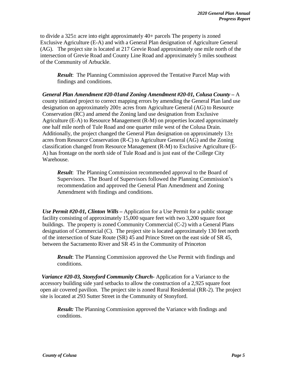to divide a  $325\pm$  acre into eight approximately 40+ parcels The property is zoned Exclusive Agriculture (E-A) and with a General Plan designation of Agriculture General (AG). The project site is located at 217 Grevie Road approximately one mile north of the intersection of Grevie Road and County Line Road and approximately 5 miles southeast of the Community of Arbuckle.

*Result*: The Planning Commission approved the Tentative Parcel Map with findings and conditions.

*General Plan Amendment #20-01and Zoning Amendment #20-01, Colusa County –* A county initiated project to correct mapping errors by amending the General Plan land use designation on approximately 200± acres from Agriculture General (AG) to Resource Conservation (RC) and amend the Zoning land use designation from Exclusive Agriculture (E-A) to Resource Management (R-M) on properties located approximately one half mile north of Tule Road and one quarter mile west of the Colusa Drain. Additionally, the project changed the General Plan designation on approximately  $13\pm$ acres from Resource Conservation (R-C) to Agriculture General (AG) and the Zoning classification changed from Resource Management (R-M) to Exclusive Agriculture (E-A) has frontage on the north side of Tule Road and is just east of the College City Warehouse.

*Result*: The Planning Commission recommended approval to the Board of Supervisors. The Board of Supervisors followed the Planning Commission's recommendation and approved the General Plan Amendment and Zoning Amendment with findings and conditions.

*Use Permit #20-01, Clinton Wills –* Application for a Use Permit for a public storage facility consisting of approximately 15,000 square feet with two 3,200 square foot buildings. The property is zoned Community Commercial (C-2) with a General Plans designation of Commercial (C). The project site is located approximately 130 feet north of the intersection of State Route (SR) 45 and Prince Street on the east side of SR 45, between the Sacramento River and SR 45 in the Community of Princeton

*Result*: The Planning Commission approved the Use Permit with findings and conditions.

*Variance #20-03, Stonyford Community Church-* Application for a Variance to the accessory building side yard setbacks to allow the construction of a 2,925 square foot open air covered pavilion. The project site is zoned Rural Residential (RR-2). The project site is located at 293 Sutter Street in the Community of Stonyford.

*Result:* The Planning Commission approved the Variance with findings and conditions.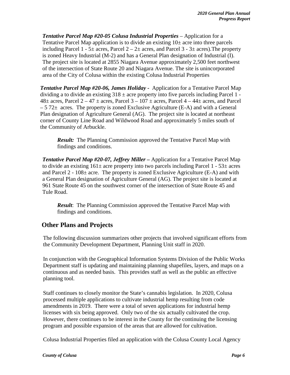*Tentative Parcel Map #20-05 Colusa Industrial Properties* – Application for a Tentative Parcel Map application is to divide an existing  $10<sup>±</sup>$  acre into three parcels including Parcel 1 - 5 $\pm$  acres, Parcel 2 – 2 $\pm$  acres, and Parcel 3 - 3 $\pm$  acres). The property is zoned Heavy Industrial (M-2) and has a General Plan designation of Industrial (I). The project site is located at 2855 Niagara Avenue approximately 2,500 feet northwest of the intersection of State Route 20 and Niagara Avenue. The site is unincorporated area of the City of Colusa within the existing Colusa Industrial Properties

*Tentative Parcel Map #20-06, James Holiday -* Application for a Tentative Parcel Map dividing a to divide an existing  $318 \pm$  acre property into five parcels including Parcel 1 - $48\pm$  acres, Parcel  $2 - 47 \pm$  acres, Parcel  $3 - 107 \pm$  acres, Parcel  $4 - 44 \pm$  acres, and Parcel  $-5.72\pm$  acres. The property is zoned Exclusive Agriculture (E-A) and with a General Plan designation of Agriculture General (AG). The project site is located at northeast corner of County Line Road and Wildwood Road and approximately 5 miles south of the Community of Arbuckle.

*Result:* The Planning Commission approved the Tentative Parcel Map with findings and conditions.

*Tentative Parcel Map #20-07, Jeffrey Miller –* Application for a Tentative Parcel Map to divide an existing  $161\pm$  acre property into two parcels including Parcel 1 - 53 $\pm$  acres and Parcel 2 -  $108\pm$  acre. The property is zoned Exclusive Agriculture (E-A) and with a General Plan designation of Agriculture General (AG). The project site is located at 961 State Route 45 on the southwest corner of the intersection of State Route 45 and Tule Road.

*Result*: The Planning Commission approved the Tentative Parcel Map with findings and conditions.

### **Other Plans and Projects**

The following discussion summarizes other projects that involved significant efforts from the Community Development Department, Planning Unit staff in 2020.

In conjunction with the Geographical Information Systems Division of the Public Works Department staff is updating and maintaining planning shapefiles, layers, and maps on a continuous and as needed basis. This provides staff as well as the public an effective planning tool.

Staff continues to closely monitor the State's cannabis legislation. In 2020, Colusa processed multiple applications to cultivate industrial hemp resulting from code amendments in 2019. There were a total of seven applications for industrial hemp licenses with six being approved. Only two of the six actually cultivated the crop. However, there continues to be interest in the County for the continuing the licensing program and possible expansion of the areas that are allowed for cultivation.

Colusa Industrial Properties filed an application with the Colusa County Local Agency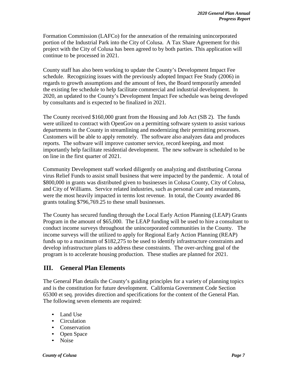Formation Commission (LAFCo) for the annexation of the remaining unincorporated portion of the Industrial Park into the City of Colusa. A Tax Share Agreement for this project with the City of Colusa has been agreed to by both parties. This application will continue to be processed in 2021.

County staff has also been working to update the County's Development Impact Fee schedule. Recognizing issues with the previously adopted Impact Fee Study (2006) in regards to growth assumptions and the amount of fees, the Board temporarily amended the existing fee schedule to help facilitate commercial and industrial development. In 2020, an updated to the County's Development Impact Fee schedule was being developed by consultants and is expected to be finalized in 2021.

The County received \$160,000 grant from the Housing and Job Act (SB 2). The funds were utilized to contract with OpenGov on a permitting software system to assist various departments in the County in streamlining and modernizing their permitting processes. Customers will be able to apply remotely. The software also analyzes data and produces reports. The software will improve customer service, record keeping, and most importantly help facilitate residential development. The new software is scheduled to be on line in the first quarter of 2021.

Community Development staff worked diligently on analyzing and distributing Corona virus Relief Funds to assist small business that were impacted by the pandemic. A total of \$800,000 in grants was distributed given to businesses in Colusa County, City of Colusa, and City of Williams. Service related industries, such as personal care and restaurants, were the most heavily impacted in terms lost revenue. In total, the County awarded 86 grants totaling \$796,769.25 to these small businesses.

The County has secured funding through the Local Early Action Planning (LEAP) Grants Program in the amount of \$65,000. The LEAP funding will be used to hire a consultant to conduct income surveys throughout the unincorporated communities in the County. The income surveys will the utilized to apply for Regional Early Action Planning (REAP) funds up to a maximum of \$182,275 to be used to identify infrastructure constraints and develop infrastructure plans to address these constraints. The over-arching goal of the program is to accelerate housing production. These studies are planned for 2021.

### **III. General Plan Elements**

The General Plan details the County's guiding principles for a variety of planning topics and is the constitution for future development. California Government Code Section 65300 et seq. provides direction and specifications for the content of the General Plan. The following seven elements are required:

- Land Use
- Circulation
- Conservation
- Open Space
- Noise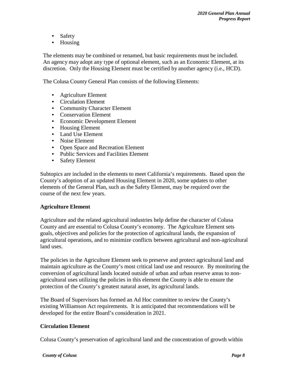- Safety
- Housing

The elements may be combined or renamed, but basic requirements must be included. An agency may adopt any type of optional element, such as an Economic Element, at its discretion. Only the Housing Element must be certified by another agency (i.e., HCD).

The Colusa County General Plan consists of the following Elements:

- Agriculture Element
- Circulation Element
- Community Character Element
- Conservation Element
- Economic Development Element
- Housing Element
- Land Use Element
- Noise Element
- Open Space and Recreation Element
- Public Services and Facilities Element
- Safety Element

Subtopics are included in the elements to meet California's requirements. Based upon the County's adoption of an updated Housing Element in 2020, some updates to other elements of the General Plan, such as the Safety Element, may be required over the course of the next few years.

#### **Agriculture Element**

Agriculture and the related agricultural industries help define the character of Colusa County and are essential to Colusa County's economy. The Agriculture Element sets goals, objectives and policies for the protection of agricultural lands, the expansion of agricultural operations, and to minimize conflicts between agricultural and non-agricultural land uses.

The policies in the Agriculture Element seek to preserve and protect agricultural land and maintain agriculture as the County's most critical land use and resource. By monitoring the conversion of agricultural lands located outside of urban and urban reserve areas to nonagricultural uses utilizing the policies in this element the County is able to ensure the protection of the County's greatest natural asset, its agricultural lands.

The Board of Supervisors has formed an Ad Hoc committee to review the County's existing Williamson Act requirements. It is anticipated that recommendations will be developed for the entire Board's consideration in 2021.

#### **Circulation Element**

Colusa County's preservation of agricultural land and the concentration of growth within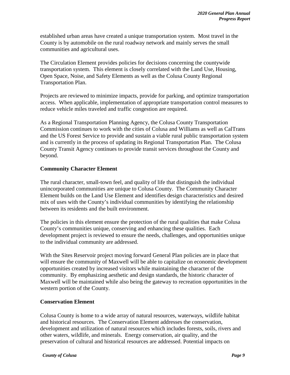established urban areas have created a unique transportation system. Most travel in the County is by automobile on the rural roadway network and mainly serves the small communities and agricultural uses.

The Circulation Element provides policies for decisions concerning the countywide transportation system. This element is closely correlated with the Land Use, Housing, Open Space, Noise, and Safety Elements as well as the Colusa County Regional Transportation Plan.

Projects are reviewed to minimize impacts, provide for parking, and optimize transportation access. When applicable, implementation of appropriate transportation control measures to reduce vehicle miles traveled and traffic congestion are required.

As a Regional Transportation Planning Agency, the Colusa County Transportation Commission continues to work with the cities of Colusa and Williams as well as CalTrans and the US Forest Service to provide and sustain a viable rural public transportation system and is currently in the process of updating its Regional Transportation Plan. The Colusa County Transit Agency continues to provide transit services throughout the County and beyond.

#### **Community Character Element**

The rural character, small-town feel, and quality of life that distinguish the individual unincorporated communities are unique to Colusa County. The Community Character Element builds on the Land Use Element and identifies design characteristics and desired mix of uses with the County's individual communities by identifying the relationship between its residents and the built environment.

The policies in this element ensure the protection of the rural qualities that make Colusa County's communities unique, conserving and enhancing these qualities. Each development project is reviewed to ensure the needs, challenges, and opportunities unique to the individual community are addressed.

With the Sites Reservoir project moving forward General Plan policies are in place that will ensure the community of Maxwell will be able to capitalize on economic development opportunities created by increased visitors while maintaining the character of the community. By emphasizing aesthetic and design standards, the historic character of Maxwell will be maintained while also being the gateway to recreation opportunities in the western portion of the County.

#### **Conservation Element**

Colusa County is home to a wide array of natural resources, waterways, wildlife habitat and historical resources. The Conservation Element addresses the conservation, development and utilization of natural resources which includes forests, soils, rivers and other waters, wildlife, and minerals. Energy conservation, air quality, and the preservation of cultural and historical resources are addressed. Potential impacts on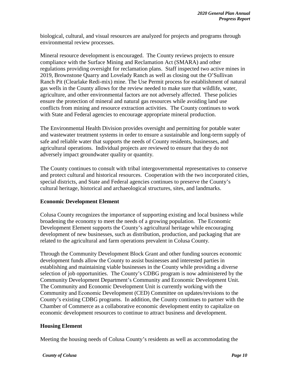biological, cultural, and visual resources are analyzed for projects and programs through environmental review processes.

Mineral resource development is encouraged. The County reviews projects to ensure compliance with the Surface Mining and Reclamation Act (SMARA) and other regulations providing oversight for reclamation plans. Staff inspected two active mines in 2019, Brownstone Quarry and Lovelady Ranch as well as closing out the O'Sullivan Ranch Pit (Clearlake Redi-mix) mine. The Use Permit process for establishment of natural gas wells in the County allows for the review needed to make sure that wildlife, water, agriculture, and other environmental factors are not adversely affected. These policies ensure the protection of mineral and natural gas resources while avoiding land use conflicts from mining and resource extraction activities. The County continues to work with State and Federal agencies to encourage appropriate mineral production.

The Environmental Health Division provides oversight and permitting for potable water and wastewater treatment systems in order to ensure a sustainable and long-term supply of safe and reliable water that supports the needs of County residents, businesses, and agricultural operations. Individual projects are reviewed to ensure that they do not adversely impact groundwater quality or quantity.

The County continues to consult with tribal intergovernmental representatives to conserve and protect cultural and historical resources. Cooperation with the two incorporated cities, special districts, and State and Federal agencies continues to preserve the County's cultural heritage, historical and archaeological structures, sites, and landmarks.

#### **Economic Development Element**

Colusa County recognizes the importance of supporting existing and local business while broadening the economy to meet the needs of a growing population. The Economic Development Element supports the County's agricultural heritage while encouraging development of new businesses, such as distribution, production, and packaging that are related to the agricultural and farm operations prevalent in Colusa County.

Through the Community Development Block Grant and other funding sources economic development funds allow the County to assist businesses and interested parties in establishing and maintaining viable businesses in the County while providing a diverse selection of job opportunities. The County's CDBG program is now administered by the Community Development Department's Community and Economic Development Unit. The Community and Economic Development Unit is currently working with the Community and Economic Development (CED) Committee on updates/revisions to the County's existing CDBG programs. In addition, the County continues to partner with the Chamber of Commerce as a collaborative economic development entity to capitalize on economic development resources to continue to attract business and development.

#### **Housing Element**

Meeting the housing needs of Colusa County's residents as well as accommodating the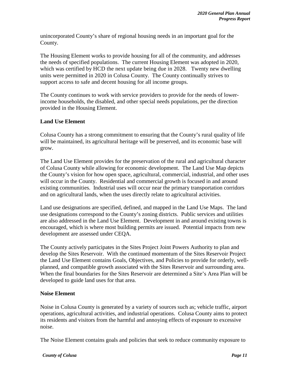unincorporated County's share of regional housing needs in an important goal for the County.

The Housing Element works to provide housing for all of the community, and addresses the needs of specified populations. The current Housing Element was adopted in 2020, which was certified by HCD the next update being due in 2028. Twenty new dwelling units were permitted in 2020 in Colusa County. The County continually strives to support access to safe and decent housing for all income groups.

The County continues to work with service providers to provide for the needs of lowerincome households, the disabled, and other special needs populations, per the direction provided in the Housing Element.

#### **Land Use Element**

Colusa County has a strong commitment to ensuring that the County's rural quality of life will be maintained, its agricultural heritage will be preserved, and its economic base will grow.

The Land Use Element provides for the preservation of the rural and agricultural character of Colusa County while allowing for economic development. The Land Use Map depicts the County's vision for how open space, agricultural, commercial, industrial, and other uses will occur in the County. Residential and commercial growth is focused in and around existing communities. Industrial uses will occur near the primary transportation corridors and on agricultural lands, when the uses directly relate to agricultural activities.

Land use designations are specified, defined, and mapped in the Land Use Maps. The land use designations correspond to the County's zoning districts. Public services and utilities are also addressed in the Land Use Element. Development in and around existing towns is encouraged, which is where most building permits are issued. Potential impacts from new development are assessed under CEQA.

The County actively participates in the Sites Project Joint Powers Authority to plan and develop the Sites Reservoir. With the continued momentum of the Sites Reservoir Project the Land Use Element contains Goals, Objectives, and Policies to provide for orderly, wellplanned, and compatible growth associated with the Sites Reservoir and surrounding area. When the final boundaries for the Sites Reservoir are determined a Site's Area Plan will be developed to guide land uses for that area.

#### **Noise Element**

Noise in Colusa County is generated by a variety of sources such as; vehicle traffic, airport operations, agricultural activities, and industrial operations. Colusa County aims to protect its residents and visitors from the harmful and annoying effects of exposure to excessive noise.

The Noise Element contains goals and policies that seek to reduce community exposure to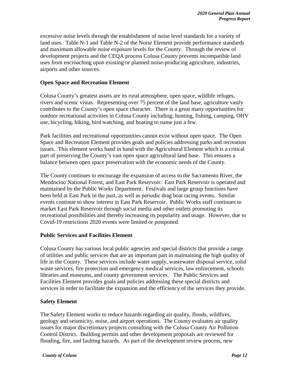excessive noise levels through the establishment of noise level standards for a variety of land uses. Table N-1 and Table N-2 of the Noise Element provide performance standards and maximum allowable noise exposure levels for the County. Through the review of development projects and the CEQA process Colusa County prevents incompatible land uses from encroaching upon existing or planned noise-producing agriculture, industries, airports and other sources.

#### **Open Space and Recreation Element**

Colusa County's greatest assets are its rural atmosphere, open space, wildlife refuges, rivers and scenic vistas. Representing over 75 percent of the land base, agriculture vastly contributes to the County's open space character. There is a great many opportunities for outdoor recreational activities in Colusa County including; hunting, fishing, camping, OHV use, bicycling, hiking, bird watching, and boating to name just a few.

Park facilities and recreational opportunities cannot exist without open space. The Open Space and Recreation Element provides goals and policies addressing parks and recreation issues. This element works hand in hand with the Agricultural Element which is a critical part of preserving the County's vast open space agricultural land base. This ensures a balance between open space preservation with the economic needs of the County.

The County continues to encourage the expansion of access to the Sacramento River, the Mendocino National Forest, and East Park Reservoir. East Park Reservoir is operated and maintained by the Public Works Department. Festivals and large group functions have been held at East Park in the past, as well as periodic drag boat racing events. Similar events continue to show interest in East Park Reservoir. Public Works staff continues to market East Park Reservoir through social media and other outlets promoting its recreational possibilities and thereby increasing its popularity and usage. However, due to Covid-19 restrictions 2020 events were limited or postponed.

#### **Public Services and Facilities Element**

Colusa County has various local public agencies and special districts that provide a range of utilities and public services that are an important part in maintaining the high quality of life in the County. These services include water supply, wastewater disposal service, solid waste services, fire protection and emergency medical services, law enforcement, schools libraries and museums, and county government services. The Public Services and Facilities Element provides goals and policies addressing these special districts and services in order to facilitate the expansion and the efficiency of the services they provide.

#### **Safety Element**

The Safety Element works to reduce hazards regarding air quality, floods, wildfires, geology and seismicity, noise, and airport operations. The County evaluates air quality issues for major discretionary projects consulting with the Colusa County Air Pollution Control District. Building permits and other development proposals are reviewed for flooding, fire, and faulting hazards. As part of the development review process, new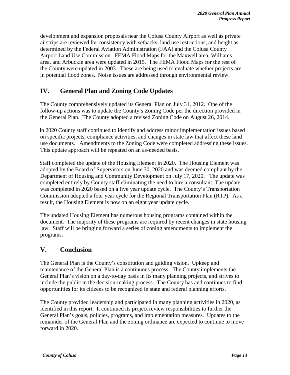development and expansion proposals near the Colusa County Airport as well as private airstrips are reviewed for consistency with setbacks, land use restrictions, and height as determined by the Federal Aviation Administration (FAA) and the Colusa County Airport Land Use Commission. FEMA Flood Maps for the Maxwell area, Williams area, and Arbuckle area were updated in 2015. The FEMA Flood Maps for the rest of the County were updated in 2003. These are being used to evaluate whether projects are in potential flood zones. Noise issues are addressed through environmental review.

### **IV. General Plan and Zoning Code Updates**

The County comprehensively updated its General Plan on July 31, 2012. One of the follow-up actions was to update the County's Zoning Code per the direction provided in the General Plan. The County adopted a revised Zoning Code on August 26, 2014.

 In 2020 County staff continued to identify and address minor implementation issues based on specific projects, compliance activities, and changes in state law that affect these land use documents. Amendments to the Zoning Code were completed addressing these issues. This update approach will be repeated on an as-needed basis.

Staff completed the update of the Housing Element in 2020. The Housing Element was adopted by the Board of Supervisors on June 30, 2020 and was deemed compliant by the Department of Housing and Community Development on July 17, 2020. The update was completed entirely by County staff eliminating the need to hire a consultant. The update was completed in 2020 based on a five year update cycle. The County's Transportation Commission adopted a four year cycle for the Regional Transportation Plan (RTP). As a result, the Housing Element is now on an eight year update cycle.

The updated Housing Element has numerous housing programs contained within the document. The majority of these programs are required by recent changes in state housing law. Staff will be bringing forward a series of zoning amendments to implement the programs.

### **V. Conclusion**

The General Plan is the County's constitution and guiding vision. Upkeep and maintenance of the General Plan is a continuous process. The County implements the General Plan's vision on a day-to-day basis in its many planning projects, and strives to include the public in the decision-making process. The County has and continues to find opportunities for its citizens to be recognized in state and federal planning efforts.

The County provided leadership and participated in many planning activities in 2020, as identified in this report. It continued its project review responsibilities to further the General Plan's goals, policies, programs, and implementation measures. Updates to the remainder of the General Plan and the zoning ordinance are expected to continue to move forward in 2020.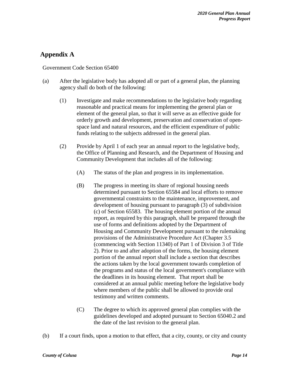### **Appendix A**

#### Government Code Section 65400

- (a) After the legislative body has adopted all or part of a general plan, the planning agency shall do both of the following:
	- (1) Investigate and make recommendations to the legislative body regarding reasonable and practical means for implementing the general plan or element of the general plan, so that it will serve as an effective guide for orderly growth and development, preservation and conservation of openspace land and natural resources, and the efficient expenditure of public funds relating to the subjects addressed in the general plan.
	- (2) Provide by April 1 of each year an annual report to the legislative body, the Office of Planning and Research, and the Department of Housing and Community Development that includes all of the following:
		- (A) The status of the plan and progress in its implementation.
		- (B) The progress in meeting its share of regional housing needs determined pursuant to Section 65584 and local efforts to remove governmental constraints to the maintenance, improvement, and development of housing pursuant to paragraph (3) of subdivision (c) of Section 65583. The housing element portion of the annual report, as required by this paragraph, shall be prepared through the use of forms and definitions adopted by the Department of Housing and Community Development pursuant to the rulemaking provisions of the Administrative Procedure Act (Chapter 3.5 (commencing with Section 11340) of Part 1 of Division 3 of Title 2). Prior to and after adoption of the forms, the housing element portion of the annual report shall include a section that describes the actions taken by the local government towards completion of the programs and status of the local government's compliance with the deadlines in its housing element. That report shall be considered at an annual public meeting before the legislative body where members of the public shall be allowed to provide oral testimony and written comments.
		- (C) The degree to which its approved general plan complies with the guidelines developed and adopted pursuant to Section 65040.2 and the date of the last revision to the general plan.
- (b) If a court finds, upon a motion to that effect, that a city, county, or city and county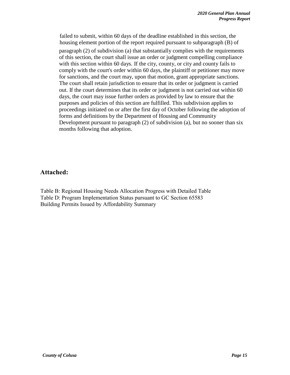failed to submit, within 60 days of the deadline established in this section, the housing element portion of the report required pursuant to subparagraph (B) of paragraph (2) of subdivision (a) that substantially complies with the requirements of this section, the court shall issue an order or judgment compelling compliance with this section within 60 days. If the city, county, or city and county fails to comply with the court's order within 60 days, the plaintiff or petitioner may move for sanctions, and the court may, upon that motion, grant appropriate sanctions. The court shall retain jurisdiction to ensure that its order or judgment is carried out. If the court determines that its order or judgment is not carried out within 60 days, the court may issue further orders as provided by law to ensure that the purposes and policies of this section are fulfilled. This subdivision applies to proceedings initiated on or after the first day of October following the adoption of forms and definitions by the Department of Housing and Community Development pursuant to paragraph (2) of subdivision (a), but no sooner than six months following that adoption.

### **Attached:**

Table B: Regional Housing Needs Allocation Progress with Detailed Table Table D: Program Implementation Status pursuant to GC Section 65583 Building Permits Issued by Affordability Summary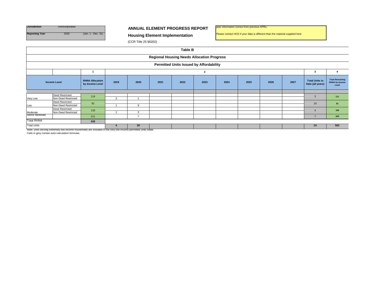

#### **ANNUAL ELEMENT PROGRESS REPORT**

year information comes from previous APRs.

Please contact HCD if your data is different than the material supplied here

(CCR Title 25 §6202)

|                                                | <b>Table B</b>                                    |                                           |                |      |      |      |      |      |      |      |      |                                           |                                                          |
|------------------------------------------------|---------------------------------------------------|-------------------------------------------|----------------|------|------|------|------|------|------|------|------|-------------------------------------------|----------------------------------------------------------|
|                                                | <b>Regional Housing Needs Allocation Progress</b> |                                           |                |      |      |      |      |      |      |      |      |                                           |                                                          |
| <b>Permitted Units Issued by Affordability</b> |                                                   |                                           |                |      |      |      |      |      |      |      |      |                                           |                                                          |
| $\overline{\mathbf{2}}$                        |                                                   |                                           |                |      |      |      |      |      |      |      |      |                                           |                                                          |
| <b>Income Level</b>                            |                                                   | <b>RHNA Allocation</b><br>by Income Level | 2019           | 2020 | 2021 | 2022 | 2023 | 2024 | 2025 | 2026 | 2027 | <b>Total Units to</b><br>Date (all years) | <b>Total Remaining</b><br><b>RHNA by Income</b><br>Level |
|                                                |                                                   |                                           |                |      |      |      |      |      |      |      |      |                                           |                                                          |
| Very Low                                       | <b>Deed Restricted</b><br>Non-Deed Restricted     | 114                                       | $\overline{2}$ |      |      |      |      |      |      |      |      | $\mathcal{R}$                             | 111                                                      |
| Low                                            | <b>Deed Restricted</b><br>Non-Deed Restricted     | 91                                        |                | a    |      |      |      |      |      |      |      | 10                                        | 81                                                       |
| Moderate                                       | <b>Deed Restricted</b><br>Non-Deed Restricted     | 110                                       |                | 3    |      |      |      |      |      |      |      |                                           | 106                                                      |
| Above Moderate                                 |                                                   | 211                                       |                |      |      |      |      |      |      |      |      |                                           | 204                                                      |
| <b>Total RHNA</b>                              |                                                   | 526                                       |                |      |      |      |      |      |      |      |      |                                           |                                                          |
| <b>Total Units</b>                             | 20                                                |                                           |                |      |      |      | 24   | 502  |      |      |      |                                           |                                                          |

Note: units serving extremely low-income households are included in the very low-income permitted units totals Cells in grey contain auto-calculation formulas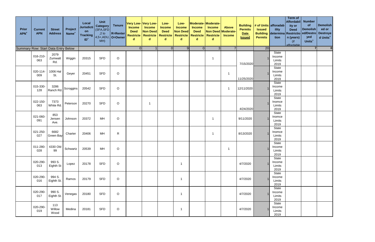| <b>Prior</b><br><b>APN<sup>+</sup></b> | <b>Current</b><br><b>APN</b> | <b>Street</b><br><b>Address</b> | Project<br>Name <sup>+</sup> | Local<br><b>Jurisdicti</b><br>on<br><b>Tracking</b><br>$ID+$ | Unit<br>Category<br>(SFA, SFD<br>$,2$ to<br>MH) | <b>Tenure</b><br>R=Renter<br>$4,5+$ , ADU, O=Owner | <b>Income</b><br><b>Deed</b><br>$\mathbf d$ | Very Low-Very Low-<br><b>Income</b><br>Non Deed<br><b>Restricte   Restricte   Restricte</b><br>$\mathbf d$ | Low-<br><b>Income</b><br><b>Deed</b><br>d | Low-<br><b>Income</b><br><b>Non Deed</b><br><b>Restricte</b><br>$\mathbf d$ | <b>Income</b><br><b>Deed</b><br><b>Restricte</b><br>d | Moderate-Moderate-<br><b>Income</b><br>Non Deed Moderate-<br><b>Restricte</b><br>$\mathsf{d}$ | Above<br><b>Income</b>  | <b>Building</b><br><b>Permits</b><br>Date<br><b>Issued</b> | <b>Issued</b><br><b>Permits</b> | # of Units $ $ afforadab $ $<br>ility<br>tion | <b>Term of</b><br>Affordabil<br>ity or<br><b>Deed</b><br><b>Building determina Restrictio ed/Destro</b><br>$\vert$ n (years)<br>$($ if<br>affordable | <b>Number</b><br>of<br><b>Demolish</b><br>yed<br>Units <sup>+</sup> | Demolish<br>ed or<br>Destroye<br>d Units <sup>+</sup> |
|----------------------------------------|------------------------------|---------------------------------|------------------------------|--------------------------------------------------------------|-------------------------------------------------|----------------------------------------------------|---------------------------------------------|------------------------------------------------------------------------------------------------------------|-------------------------------------------|-----------------------------------------------------------------------------|-------------------------------------------------------|-----------------------------------------------------------------------------------------------|-------------------------|------------------------------------------------------------|---------------------------------|-----------------------------------------------|------------------------------------------------------------------------------------------------------------------------------------------------------|---------------------------------------------------------------------|-------------------------------------------------------|
| Summary Row: Start Data Entry Below    |                              |                                 |                              |                                                              |                                                 |                                                    | $\Omega$                                    | 11                                                                                                         | $\Omega$                                  | 9 <sup>1</sup>                                                              | $\overline{O}$                                        | 3 <sup>1</sup>                                                                                | $\overline{7}$          |                                                            | 20                              |                                               |                                                                                                                                                      | <b>71</b>                                                           | 0                                                     |
|                                        | 016-210-<br>063              | 2079<br>Zumwalt<br>Rd.          | Wiggin                       | 20315                                                        | <b>SFD</b>                                      | $\mathsf O$                                        |                                             |                                                                                                            |                                           |                                                                             |                                                       | 1                                                                                             |                         | 7/15/2020                                                  |                                 | State<br>Income<br>Limits<br>2019             |                                                                                                                                                      |                                                                     |                                                       |
|                                        | 020-114-<br>009              | 1006 Hal<br>St.                 | Geyer                        | 20451                                                        | <b>SFD</b>                                      | $\mathsf O$                                        |                                             |                                                                                                            |                                           |                                                                             |                                                       |                                                                                               | -1                      | 11/25/2020                                                 |                                 | State<br>Income<br>Limits<br>2019             |                                                                                                                                                      |                                                                     |                                                       |
|                                        | 015-330-<br>128              | 3286<br>Ranch Rd.               | Scroggins                    | 20542                                                        | <b>SFD</b>                                      | $\mathsf O$                                        |                                             |                                                                                                            |                                           |                                                                             |                                                       |                                                                                               | $\overline{\mathbf{1}}$ | 12/11/2020                                                 |                                 | State<br>Income<br>Limits<br>2019             |                                                                                                                                                      |                                                                     |                                                       |
|                                        | 022-150-<br>063              | 7373<br>White Rd.               | Peterson                     | 20270                                                        | <b>SFD</b>                                      | $\mathsf O$                                        |                                             | -1                                                                                                         |                                           |                                                                             |                                                       |                                                                                               |                         | 4/24/2020                                                  |                                 | State<br>Inomce<br>Limits<br>2019             |                                                                                                                                                      |                                                                     |                                                       |
|                                        | 021-060-<br>091              | 853<br>Jensen<br>Ave.           | Johnson                      | 20372                                                        | MH                                              | $\circ$                                            |                                             |                                                                                                            |                                           |                                                                             |                                                       | -1                                                                                            |                         | 9/11/2020                                                  |                                 | State<br>Inomce<br>Limits<br>2019             |                                                                                                                                                      |                                                                     |                                                       |
|                                        | 021-250-<br>027              | 6682<br><b>Green Bay</b>        | Charter                      | 20406                                                        | MH                                              | $\mathsf{R}$                                       |                                             |                                                                                                            |                                           |                                                                             |                                                       | -1                                                                                            |                         | 8/13/2020                                                  |                                 | State<br>Inomce<br>Limits<br>2019             |                                                                                                                                                      |                                                                     |                                                       |
|                                        | 011-280-<br>028              | 4330 Old<br>99                  | Schwartz                     | 20539                                                        | MH                                              | $\mathsf O$                                        |                                             |                                                                                                            |                                           |                                                                             |                                                       |                                                                                               | -1                      |                                                            |                                 | State<br>Income<br>Limits<br>2019             |                                                                                                                                                      |                                                                     |                                                       |
|                                        | 020-290-<br>013              | 993 S.<br>Eighth St             | Lopez                        | 20178                                                        | <b>SFD</b>                                      | $\circ$                                            |                                             |                                                                                                            |                                           | $\mathbf 1$                                                                 |                                                       |                                                                                               |                         | 4/7/2020                                                   |                                 | State<br>Income<br>Limits<br>2019             |                                                                                                                                                      |                                                                     |                                                       |
|                                        | 020-290-<br>016              | 994 S.<br>Eighth St.            | Ramos                        | 20179                                                        | <b>SFD</b>                                      | $\circ$                                            |                                             |                                                                                                            |                                           | $\overline{1}$                                                              |                                                       |                                                                                               |                         | 4/7/2020                                                   |                                 | State<br>Income<br>Limits<br>2019             |                                                                                                                                                      |                                                                     |                                                       |
|                                        | 020-290-<br>017              | 990 S.<br>Eighth St.            | Venegas                      | 20180                                                        | <b>SFD</b>                                      | $\circ$                                            |                                             |                                                                                                            |                                           | -1                                                                          |                                                       |                                                                                               |                         | 4/7/2020                                                   |                                 | State<br>Income<br>Limits<br>2019             |                                                                                                                                                      |                                                                     |                                                       |
|                                        | 020-290-<br>019              | 113<br>Willow<br>Wood           | Medina                       | 20181                                                        | <b>SFD</b>                                      | $\mathsf O$                                        |                                             |                                                                                                            |                                           | $\mathbf 1$                                                                 |                                                       |                                                                                               |                         | 4/7/2020                                                   |                                 | State<br>Income<br>Limits<br>2019             |                                                                                                                                                      |                                                                     |                                                       |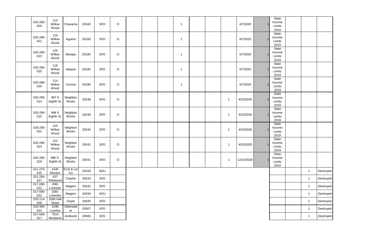| 020-290-<br>020             | 115<br>Willow<br>Wood      | Chavarria         | 20182 | <b>SFD</b> | $\mathsf O$ |  | $\overline{1}$ |  |                | 4/7/2020   | State<br>Income<br>Limits<br>2019 |              |           |
|-----------------------------|----------------------------|-------------------|-------|------------|-------------|--|----------------|--|----------------|------------|-----------------------------------|--------------|-----------|
| 020-290-<br>021             | 119<br>Willow<br>Wood      | Aguirre           | 20183 | <b>SFD</b> | $\mathsf O$ |  | $\overline{1}$ |  |                | 4/7/2020   | State<br>Income<br>Limits<br>2019 |              |           |
| 020-290-<br>023             | 126<br>Willow<br>Wood      | Barajas           | 20184 | <b>SFD</b> | $\mathsf O$ |  | $\mathbf 1$    |  |                | 4/7/2020   | State<br>Income<br>Limits<br>2019 |              |           |
| 020-290-<br>025             | 118<br>Willow<br>Wood      | Salazar           | 20185 | <b>SFD</b> | $\circ$     |  | $\overline{1}$ |  |                | 4/7/2020   | State<br>Income<br>Limits<br>2019 |              |           |
| 020-290-<br>026             | 114<br>Willow<br>Wood      | Corona            | 20186 | <b>SFD</b> | $\mathsf O$ |  | $\overline{1}$ |  |                | 4/7/2020   | State<br>Income<br>Limits<br>2019 |              |           |
| 020-290-<br>014             | 997 S<br>Eighth St.        | Neighbor<br>Works | 20238 | <b>SFD</b> | $\mathsf O$ |  |                |  | $\overline{1}$ | 4/23/2020  | State<br>Income<br>Limits<br>2019 |              |           |
| 020-290-<br>015             | 998 S<br>Eighth St.        | Neighbor<br>Works | 20239 | <b>SFD</b> | $\mathsf O$ |  |                |  | $\mathbf{1}$   | 4/23/2020  | State<br>Income<br>Limits<br>2019 |              |           |
| 020-290-<br>022             | 125<br>Willow<br>Wood      | Neighbor<br>Works | 20240 | <b>SFD</b> | $\circ$     |  |                |  | $\mathbf{1}$   | 4/23/2020  | State<br>Income<br>Limits<br>2019 |              |           |
| 020-290-<br>024             | 122<br>Willow<br>Wood      | Neighbor<br>Works | 20241 | <b>SFD</b> | $\circ$     |  |                |  | $\overline{1}$ | 4/23/2020  | State<br>Income<br>Limits<br>2019 |              |           |
| 020-290-<br>018             | 986 S.<br>Eighth St        | Neighbor<br>Works | 20541 | <b>SFD</b> | $\circ$     |  |                |  | $\mathbf{1}$   | 12/14/2020 | State<br>Income<br>Limits<br>2019 |              |           |
| $011 - 270 -$<br>025        | 4105<br>Riordon            | EUS & Let<br>Go   | 20158 | ADU        |             |  |                |  |                |            |                                   | $\mathbf{1}$ | Destroyed |
| $021 - 250 -$<br>027        | 437<br>Wildwood            | Charter           | 20243 | SFD        |             |  |                |  |                |            |                                   | $\mathbf{1}$ | Destroyed |
| 017-090-<br>022             | 2081<br>Lonestar           | Magers            | 20432 | <b>SFD</b> |             |  |                |  |                |            |                                   | $\mathbf{1}$ | Destroyed |
| 017-090-<br>022             | 2081<br>Lonestar           | Magers            | 20434 | ADU        |             |  |                |  |                |            |                                   | $\mathbf{1}$ | Destroyed |
| 020-114-<br>009             | <b>1006 Hall</b><br>Street | Geyer             | 20435 | SFD        |             |  |                |  |                |            |                                   | $\mathbf{1}$ | Destroyed |
| 015-400-<br>023<br>017-040- | 2198<br>Lureline<br>7510   | Ottenwalt<br>er   | 20507 | <b>SFD</b> |             |  |                |  |                |            |                                   | $\mathbf{1}$ | Destroyed |
| 017                         | Moobend                    | Andreotti         | 20565 | SFD        |             |  |                |  |                |            |                                   | $\mathbf{1}$ | Destroyed |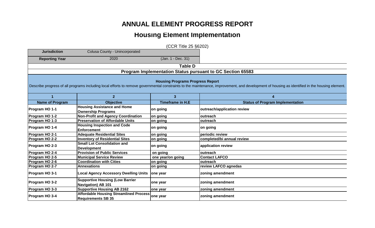## **ANNUAL ELEMENT PROGRESS REPORT**

## **Housing Element Implementation**

(CCR Title 25 §6202)

| <b>Jurisdiction</b>                                                                                                                                                                                                                       | Colusa County - Unincorporated                                             |                         |                                         |  |  |  |  |  |  |
|-------------------------------------------------------------------------------------------------------------------------------------------------------------------------------------------------------------------------------------------|----------------------------------------------------------------------------|-------------------------|-----------------------------------------|--|--|--|--|--|--|
| <b>Reporting Year</b>                                                                                                                                                                                                                     | 2020                                                                       | (Jan. 1 - Dec. 31)      |                                         |  |  |  |  |  |  |
| <b>Table D</b>                                                                                                                                                                                                                            |                                                                            |                         |                                         |  |  |  |  |  |  |
|                                                                                                                                                                                                                                           | Program Implementation Status pursuant to GC Section 65583                 |                         |                                         |  |  |  |  |  |  |
| <b>Housing Programs Progress Report</b><br>Describe progress of all programs including local efforts to remove governmental constraints to the maintenance, improvement, and development of housing as identified in the housing element. |                                                                            |                         |                                         |  |  |  |  |  |  |
|                                                                                                                                                                                                                                           | $\overline{2}$                                                             | 3                       | Δ                                       |  |  |  |  |  |  |
| <b>Name of Program</b>                                                                                                                                                                                                                    | <b>Objective</b>                                                           | <b>Timeframe in H.E</b> | <b>Status of Program Implementation</b> |  |  |  |  |  |  |
| Program HO 1-1                                                                                                                                                                                                                            | <b>Housing Assistance and Home</b><br><b>Ownership Programs</b>            | on going                | outreach/application review             |  |  |  |  |  |  |
| Program HO 1-2                                                                                                                                                                                                                            | <b>Non-Profit and Agency Coordination</b>                                  | on going                | outreach                                |  |  |  |  |  |  |
| Program HO 1-3                                                                                                                                                                                                                            | <b>Preservation of Affordable Units</b>                                    | on going                | outreach                                |  |  |  |  |  |  |
| Program HO 1-4                                                                                                                                                                                                                            | <b>Housing Inspection and Code</b><br><b>Enforcement</b>                   | on going                | on going                                |  |  |  |  |  |  |
| Program HO 2-1                                                                                                                                                                                                                            | <b>Adequate Residential Sites</b>                                          | on going                | periodic review                         |  |  |  |  |  |  |
| Program HO 2-2                                                                                                                                                                                                                            | <b>Inventory of Residential Sites</b>                                      | on going                | completed/bi annual review              |  |  |  |  |  |  |
| Program HO 2-3                                                                                                                                                                                                                            | <b>Small Lot Consolidation and</b><br><b>Development</b>                   | on going                | application review                      |  |  |  |  |  |  |
| Program HO 2-4                                                                                                                                                                                                                            | <b>Provision of Public Services</b>                                        | on going                | outreach                                |  |  |  |  |  |  |
| Program HO 2-5                                                                                                                                                                                                                            | <b>Municipal Service Review</b>                                            | one year/on going       | <b>Contact LAFCO</b>                    |  |  |  |  |  |  |
| Program HO 2-6                                                                                                                                                                                                                            | <b>Coordination with Cities</b>                                            | on going                | outreach                                |  |  |  |  |  |  |
| Program HO 2-7                                                                                                                                                                                                                            | <b>Annexations</b>                                                         | on going                | review LAFCO agnedas                    |  |  |  |  |  |  |
| Program HO 3-1                                                                                                                                                                                                                            | <b>Local Agency Accessory Dwelling Units</b>                               | one year                | zoning amendment                        |  |  |  |  |  |  |
| Program HO 3-2                                                                                                                                                                                                                            | <b>Supportive Housing (Low Barrier</b><br><b>Navigation) AB 101</b>        | one year                | zoning amendment                        |  |  |  |  |  |  |
| Program HO 3-3                                                                                                                                                                                                                            | <b>Supportive Housing AB 2162</b>                                          | one year                | zoning amendment                        |  |  |  |  |  |  |
| Program HO 3-4                                                                                                                                                                                                                            | <b>Affordable Housing Streamlined Process</b><br><b>Requirements SB 35</b> | one year                | zoning amendment                        |  |  |  |  |  |  |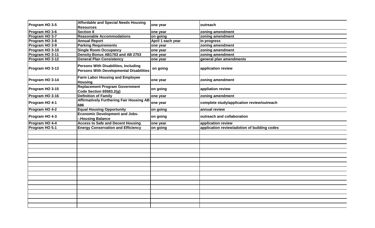|                 | <b>Affordable and Special Needs Housing</b>                                            |                   |                                              |  |  |  |
|-----------------|----------------------------------------------------------------------------------------|-------------------|----------------------------------------------|--|--|--|
| Program HO 3-5  | <b>Resources</b>                                                                       | one year          | loutreach                                    |  |  |  |
| Program HO 3-6  | <b>Section 8</b>                                                                       | one year          | zoning amendment                             |  |  |  |
| Program HO 3-7  | <b>Reasonable Accommodations</b>                                                       | on going          | zoning amendment                             |  |  |  |
| Program HO 3-8  | <b>Annual Report</b>                                                                   | April 1 each year | in progress                                  |  |  |  |
| Program HO 3-9  | <b>Parking Requirements</b>                                                            | one year          | zoning amendment                             |  |  |  |
| Program HO 3-10 | <b>Single Room Occupancy</b>                                                           | one year          | zoning amendment                             |  |  |  |
| Program HO 3-11 | Density Bonus AB1763 and AB 2753                                                       | one year          | zoning amendment                             |  |  |  |
| Program HO 3-12 | <b>General Plan Consistency</b>                                                        | one year          | general plan amendments                      |  |  |  |
| Program HO 3-13 | Persons With Disabilities, Including<br><b>Persons With Developmental Disabilities</b> | on going          | application review                           |  |  |  |
| Program HO 3-14 | <b>Farm Labor Housing and Employee</b><br><b>Housing</b>                               | one year          | zoning amendment                             |  |  |  |
| Program HO 3-15 | <b>Replacement Program Government</b><br>Code Section 65583.2(g)                       | on going          | appliation review                            |  |  |  |
| Program HO 3-16 | <b>Definition of Family</b>                                                            | one year          | zoning amendment                             |  |  |  |
| Program HO 4-1  | <b>Affirmatively Furthering Fair Housing AB</b><br>686                                 | one year          | complete study/application review/outreach   |  |  |  |
| Program HO 4-2  | <b>Equal Housing Opportunity</b>                                                       | on going          | lannual review                               |  |  |  |
| Program HO 4-3  | <b>Economic Development and Jobs-</b><br><b>-Housing Balance</b>                       | on going          | outreach and collaboration                   |  |  |  |
| Program HO 4-4  | <b>Access to Safe and Decent Housing</b>                                               | one year          | application review                           |  |  |  |
| Program HO 5-1  | <b>Energy Conservation and Efficiency</b>                                              | on going          | application review/adotion of building codes |  |  |  |
|                 |                                                                                        |                   |                                              |  |  |  |
|                 |                                                                                        |                   |                                              |  |  |  |
|                 |                                                                                        |                   |                                              |  |  |  |
|                 |                                                                                        |                   |                                              |  |  |  |
|                 |                                                                                        |                   |                                              |  |  |  |
|                 |                                                                                        |                   |                                              |  |  |  |
|                 |                                                                                        |                   |                                              |  |  |  |
|                 |                                                                                        |                   |                                              |  |  |  |
|                 |                                                                                        |                   |                                              |  |  |  |
|                 |                                                                                        |                   |                                              |  |  |  |
|                 |                                                                                        |                   |                                              |  |  |  |
|                 |                                                                                        |                   |                                              |  |  |  |
|                 |                                                                                        |                   |                                              |  |  |  |
|                 |                                                                                        |                   |                                              |  |  |  |
|                 |                                                                                        |                   |                                              |  |  |  |
|                 |                                                                                        |                   |                                              |  |  |  |
|                 |                                                                                        |                   |                                              |  |  |  |